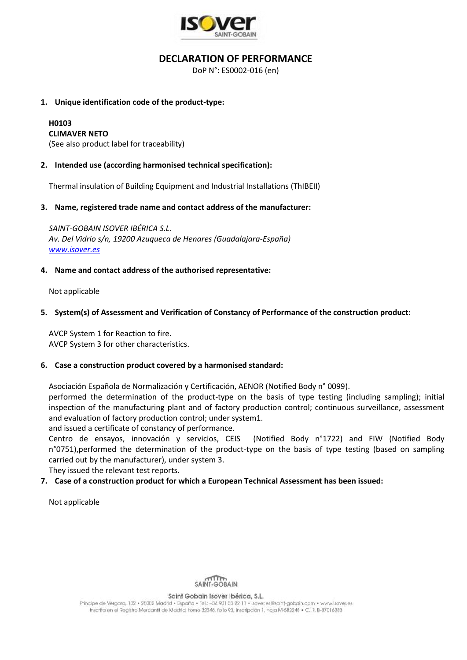

## **DECLARATION OF PERFORMANCE**

DoP N°: ES0002-016 (en)

#### **1. Unique identification code of the product-type:**

# **H0103**

**CLIMAVER NETO**

(See also product label for traceability)

#### **2. Intended use (according harmonised technical specification):**

Thermal insulation of Building Equipment and Industrial Installations (ThIBEII)

#### **3. Name, registered trade name and contact address of the manufacturer:**

*SAINT-GOBAIN ISOVER IBÉRICA S.L. Av. Del Vidrio s/n, 19200 Azuqueca de Henares (Guadalajara-España) [www.isover.es](http://www.isover.es/)*

#### **4. Name and contact address of the authorised representative:**

Not applicable

#### **5. System(s) of Assessment and Verification of Constancy of Performance of the construction product:**

AVCP System 1 for Reaction to fire. AVCP System 3 for other characteristics.

#### **6. Case a construction product covered by a harmonised standard:**

Asociación Española de Normalización y Certificación, AENOR (Notified Body n° 0099).

performed the determination of the product-type on the basis of type testing (including sampling); initial inspection of the manufacturing plant and of factory production control; continuous surveillance, assessment and evaluation of factory production control; under system1.

and issued a certificate of constancy of performance.

Centro de ensayos, innovación y servicios, CEIS (Notified Body n°1722) and FIW (Notified Body n°0751),performed the determination of the product-type on the basis of type testing (based on sampling carried out by the manufacturer), under system 3.

They issued the relevant test reports.

### **7. Case of a construction product for which a European Technical Assessment has been issued:**

Not applicable



Saint Gobain Isover Ibérica, S.L.

Principe de Vergara, 132 · 28002 Madrid · España · Tel.: +34 901 33 22 11 · Isover.es@saint-gobain.com · www.isover.es Inscrita en el Registro Mercantil de Madrid, tomo 32346, folio 93, inscripción 1, hoja M-582248 · C.I.F. B-87016283